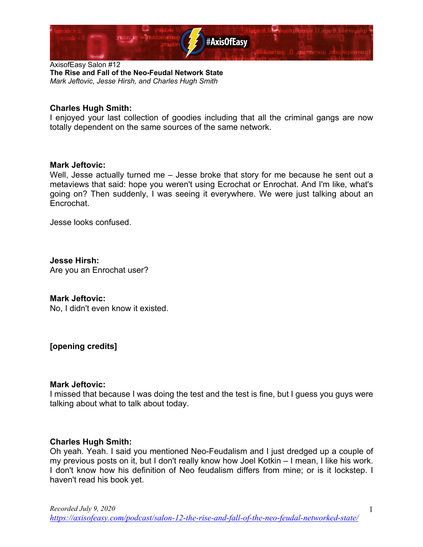

# **Charles Hugh Smith:**

I enjoyed your last collection of goodies including that all the criminal gangs are now totally dependent on the same sources of the same network.

#### **Mark Jeftovic:**

Well, Jesse actually turned me – Jesse broke that story for me because he sent out a metaviews that said: hope you weren't using Ecrochat or Enrochat. And I'm like, what's going on? Then suddenly, I was seeing it everywhere. We were just talking about an Encrochat.

Jesse looks confused.

**Jesse Hirsh:** Are you an Enrochat user?

#### **Mark Jeftovic:**

No, I didn't even know it existed.

**[opening credits]**

# **Mark Jeftovic:**

I missed that because I was doing the test and the test is fine, but I guess you guys were talking about what to talk about today.

# **Charles Hugh Smith:**

Oh yeah. Yeah. I said you mentioned Neo-Feudalism and I just dredged up a couple of my previous posts on it, but I don't really know how Joel Kotkin – I mean, I like his work. I don't know how his definition of Neo feudalism differs from mine; or is it lockstep. I haven't read his book yet.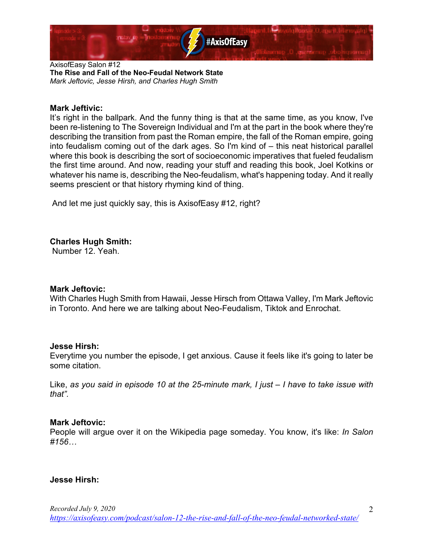

#### **Mark Jeftivic:**

It's right in the ballpark. And the funny thing is that at the same time, as you know, I've been re-listening to The Sovereign Individual and I'm at the part in the book where they're describing the transition from past the Roman empire, the fall of the Roman empire, going into feudalism coming out of the dark ages. So I'm kind of – this neat historical parallel where this book is describing the sort of socioeconomic imperatives that fueled feudalism the first time around. And now, reading your stuff and reading this book, Joel Kotkins or whatever his name is, describing the Neo-feudalism, what's happening today. And it really seems prescient or that history rhyming kind of thing.

And let me just quickly say, this is AxisofEasy #12, right?

**Charles Hugh Smith:**

Number 12. Yeah.

#### **Mark Jeftovic:**

With Charles Hugh Smith from Hawaii, Jesse Hirsch from Ottawa Valley, I'm Mark Jeftovic in Toronto. And here we are talking about Neo-Feudalism, Tiktok and Enrochat.

#### **Jesse Hirsh:**

Everytime you number the episode, I get anxious. Cause it feels like it's going to later be some citation.

Like, *as you said in episode 10 at the 25-minute mark, I just – I have to take issue with that".*

#### **Mark Jeftovic:**

People will argue over it on the Wikipedia page someday. You know, it's like: *In Salon #156…*

# **Jesse Hirsh:**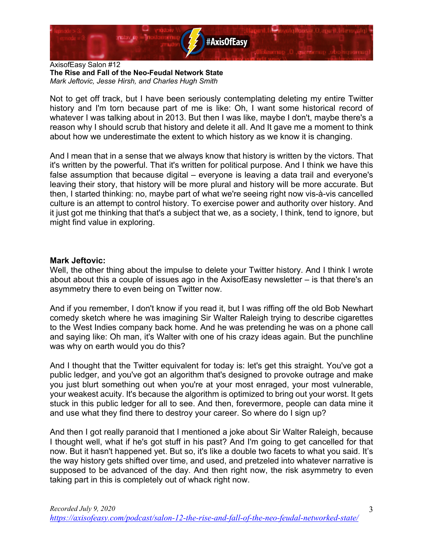

Not to get off track, but I have been seriously contemplating deleting my entire Twitter history and I'm torn because part of me is like: Oh, I want some historical record of whatever I was talking about in 2013. But then I was like, maybe I don't, maybe there's a reason why I should scrub that history and delete it all. And It gave me a moment to think about how we underestimate the extent to which history as we know it is changing.

And I mean that in a sense that we always know that history is written by the victors. That it's written by the powerful. That it's written for political purpose. And I think we have this false assumption that because digital – everyone is leaving a data trail and everyone's leaving their story, that history will be more plural and history will be more accurate. But then, I started thinking: no, maybe part of what we're seeing right now vis-à-vis cancelled culture is an attempt to control history. To exercise power and authority over history. And it just got me thinking that that's a subject that we, as a society, I think, tend to ignore, but might find value in exploring.

#### **Mark Jeftovic:**

Well, the other thing about the impulse to delete your Twitter history. And I think I wrote about about this a couple of issues ago in the AxisofEasy newsletter – is that there's an asymmetry there to even being on Twitter now.

And if you remember, I don't know if you read it, but I was riffing off the old Bob Newhart comedy sketch where he was imagining Sir Walter Raleigh trying to describe cigarettes to the West Indies company back home. And he was pretending he was on a phone call and saying like: Oh man, it's Walter with one of his crazy ideas again. But the punchline was why on earth would you do this?

And I thought that the Twitter equivalent for today is: let's get this straight. You've got a public ledger, and you've got an algorithm that's designed to provoke outrage and make you just blurt something out when you're at your most enraged, your most vulnerable, your weakest acuity. It's because the algorithm is optimized to bring out your worst. It gets stuck in this public ledger for all to see. And then, forevermore, people can data mine it and use what they find there to destroy your career. So where do I sign up?

And then I got really paranoid that I mentioned a joke about Sir Walter Raleigh, because I thought well, what if he's got stuff in his past? And I'm going to get cancelled for that now. But it hasn't happened yet. But so, it's like a double two facets to what you said. It's the way history gets shifted over time, and used, and pretzeled into whatever narrative is supposed to be advanced of the day. And then right now, the risk asymmetry to even taking part in this is completely out of whack right now.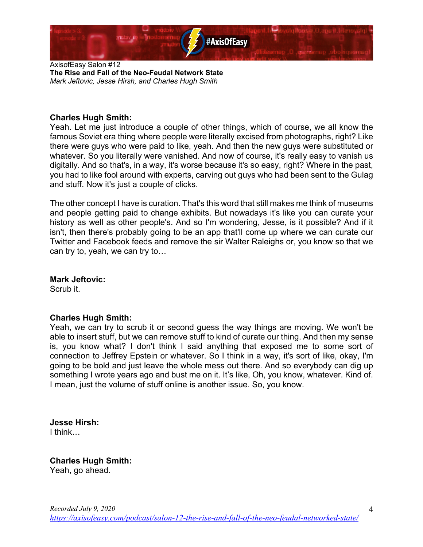

# **Charles Hugh Smith:**

Yeah. Let me just introduce a couple of other things, which of course, we all know the famous Soviet era thing where people were literally excised from photographs, right? Like there were guys who were paid to like, yeah. And then the new guys were substituted or whatever. So you literally were vanished. And now of course, it's really easy to vanish us digitally. And so that's, in a way, it's worse because it's so easy, right? Where in the past, you had to like fool around with experts, carving out guys who had been sent to the Gulag and stuff. Now it's just a couple of clicks.

The other concept I have is curation. That's this word that still makes me think of museums and people getting paid to change exhibits. But nowadays it's like you can curate your history as well as other people's. And so I'm wondering, Jesse, is it possible? And if it isn't, then there's probably going to be an app that'll come up where we can curate our Twitter and Facebook feeds and remove the sir Walter Raleighs or, you know so that we can try to, yeah, we can try to…

# **Mark Jeftovic:**

Scrub it.

# **Charles Hugh Smith:**

Yeah, we can try to scrub it or second guess the way things are moving. We won't be able to insert stuff, but we can remove stuff to kind of curate our thing. And then my sense is, you know what? I don't think I said anything that exposed me to some sort of connection to Jeffrey Epstein or whatever. So I think in a way, it's sort of like, okay, I'm going to be bold and just leave the whole mess out there. And so everybody can dig up something I wrote years ago and bust me on it. It's like, Oh, you know, whatever. Kind of. I mean, just the volume of stuff online is another issue. So, you know.

# **Jesse Hirsh:**

I think…

# **Charles Hugh Smith:**

Yeah, go ahead.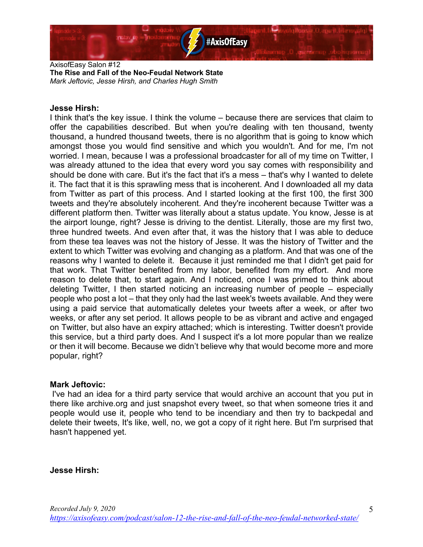

#### **Jesse Hirsh:**

I think that's the key issue. I think the volume – because there are services that claim to offer the capabilities described. But when you're dealing with ten thousand, twenty thousand, a hundred thousand tweets, there is no algorithm that is going to know which amongst those you would find sensitive and which you wouldn't. And for me, I'm not worried. I mean, because I was a professional broadcaster for all of my time on Twitter, I was already attuned to the idea that every word you say comes with responsibility and should be done with care. But it's the fact that it's a mess – that's why I wanted to delete it. The fact that it is this sprawling mess that is incoherent. And I downloaded all my data from Twitter as part of this process. And I started looking at the first 100, the first 300 tweets and they're absolutely incoherent. And they're incoherent because Twitter was a different platform then. Twitter was literally about a status update. You know, Jesse is at the airport lounge, right? Jesse is driving to the dentist. Literally, those are my first two, three hundred tweets. And even after that, it was the history that I was able to deduce from these tea leaves was not the history of Jesse. It was the history of Twitter and the extent to which Twitter was evolving and changing as a platform. And that was one of the reasons why I wanted to delete it. Because it just reminded me that I didn't get paid for that work. That Twitter benefited from my labor, benefited from my effort. And more reason to delete that, to start again. And I noticed, once I was primed to think about deleting Twitter, I then started noticing an increasing number of people – especially people who post a lot – that they only had the last week's tweets available. And they were using a paid service that automatically deletes your tweets after a week, or after two weeks, or after any set period. It allows people to be as vibrant and active and engaged on Twitter, but also have an expiry attached; which is interesting. Twitter doesn't provide this service, but a third party does. And I suspect it's a lot more popular than we realize or then it will become. Because we didn't believe why that would become more and more popular, right?

#### **Mark Jeftovic:**

I've had an idea for a third party service that would archive an account that you put in there like archive.org and just snapshot every tweet, so that when someone tries it and people would use it, people who tend to be incendiary and then try to backpedal and delete their tweets, It's like, well, no, we got a copy of it right here. But I'm surprised that hasn't happened yet.

# **Jesse Hirsh:**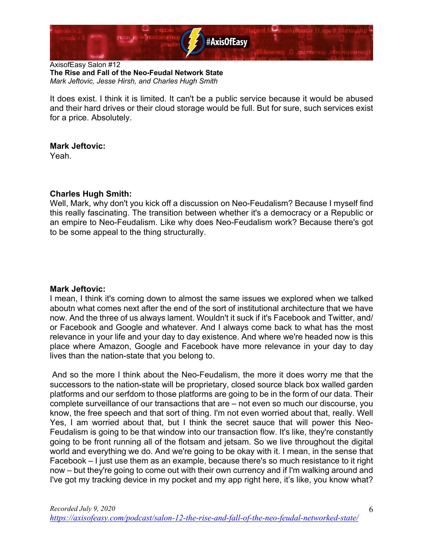

It does exist. I think it is limited. It can't be a public service because it would be abused and their hard drives or their cloud storage would be full. But for sure, such services exist for a price. Absolutely.

# **Mark Jeftovic:**

Yeah.

# **Charles Hugh Smith:**

Well, Mark, why don't you kick off a discussion on Neo-Feudalism? Because I myself find this really fascinating. The transition between whether it's a democracy or a Republic or an empire to Neo-Feudalism. Like why does Neo-Feudalism work? Because there's got to be some appeal to the thing structurally.

# **Mark Jeftovic:**

I mean, I think it's coming down to almost the same issues we explored when we talked aboutn what comes next after the end of the sort of institutional architecture that we have now. And the three of us always lament. Wouldn't it suck if it's Facebook and Twitter, and/ or Facebook and Google and whatever. And I always come back to what has the most relevance in your life and your day to day existence. And where we're headed now is this place where Amazon, Google and Facebook have more relevance in your day to day lives than the nation-state that you belong to.

And so the more I think about the Neo-Feudalism, the more it does worry me that the successors to the nation-state will be proprietary, closed source black box walled garden platforms and our serfdom to those platforms are going to be in the form of our data. Their complete surveillance of our transactions that are – not even so much our discourse, you know, the free speech and that sort of thing. I'm not even worried about that, really. Well Yes, I am worried about that, but I think the secret sauce that will power this Neo-Feudalism is going to be that window into our transaction flow. It's like, they're constantly going to be front running all of the flotsam and jetsam. So we live throughout the digital world and everything we do. And we're going to be okay with it. I mean, in the sense that Facebook – I just use them as an example, because there's so much resistance to it right now – but they're going to come out with their own currency and if I'm walking around and I've got my tracking device in my pocket and my app right here, it's like, you know what?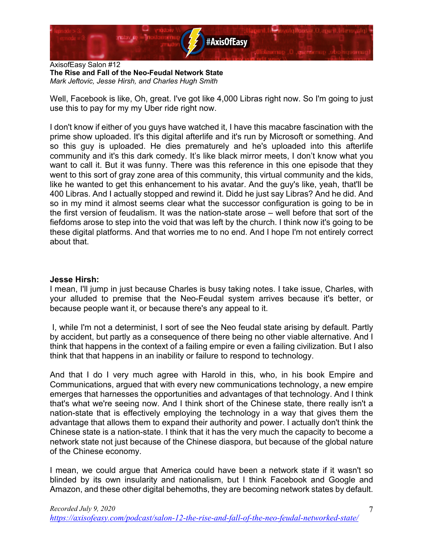

Well, Facebook is like, Oh, great. I've got like 4,000 Libras right now. So I'm going to just use this to pay for my my Uber ride right now.

I don't know if either of you guys have watched it, I have this macabre fascination with the prime show uploaded. It's this digital afterlife and it's run by Microsoft or something. And so this guy is uploaded. He dies prematurely and he's uploaded into this afterlife community and it's this dark comedy. It's like black mirror meets, I don't know what you want to call it. But it was funny. There was this reference in this one episode that they went to this sort of gray zone area of this community, this virtual community and the kids, like he wanted to get this enhancement to his avatar. And the guy's like, yeah, that'll be 400 Libras. And I actually stopped and rewind it. Didd he just say Libras? And he did. And so in my mind it almost seems clear what the successor configuration is going to be in the first version of feudalism. It was the nation-state arose – well before that sort of the fiefdoms arose to step into the void that was left by the church. I think now it's going to be these digital platforms. And that worries me to no end. And I hope I'm not entirely correct about that.

# **Jesse Hirsh:**

I mean, I'll jump in just because Charles is busy taking notes. I take issue, Charles, with your alluded to premise that the Neo-Feudal system arrives because it's better, or because people want it, or because there's any appeal to it.

I, while I'm not a determinist, I sort of see the Neo feudal state arising by default. Partly by accident, but partly as a consequence of there being no other viable alternative. And I think that happens in the context of a failing empire or even a failing civilization. But I also think that that happens in an inability or failure to respond to technology.

And that I do I very much agree with Harold in this, who, in his book Empire and Communications, argued that with every new communications technology, a new empire emerges that harnesses the opportunities and advantages of that technology. And I think that's what we're seeing now. And I think short of the Chinese state, there really isn't a nation-state that is effectively employing the technology in a way that gives them the advantage that allows them to expand their authority and power. I actually don't think the Chinese state is a nation-state. I think that it has the very much the capacity to become a network state not just because of the Chinese diaspora, but because of the global nature of the Chinese economy.

I mean, we could argue that America could have been a network state if it wasn't so blinded by its own insularity and nationalism, but I think Facebook and Google and Amazon, and these other digital behemoths, they are becoming network states by default.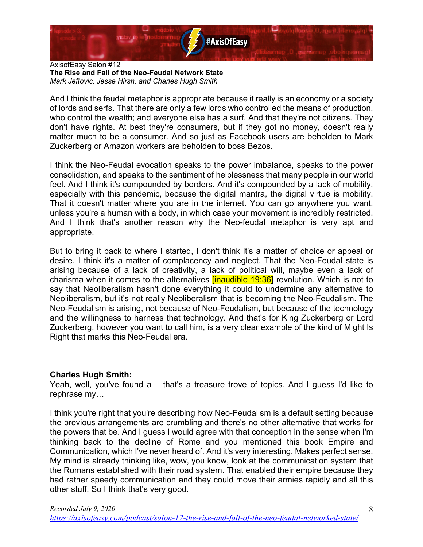

And I think the feudal metaphor is appropriate because it really is an economy or a society of lords and serfs. That there are only a few lords who controlled the means of production, who control the wealth; and everyone else has a surf. And that they're not citizens. They don't have rights. At best they're consumers, but if they got no money, doesn't really matter much to be a consumer. And so just as Facebook users are beholden to Mark Zuckerberg or Amazon workers are beholden to boss Bezos.

I think the Neo-Feudal evocation speaks to the power imbalance, speaks to the power consolidation, and speaks to the sentiment of helplessness that many people in our world feel. And I think it's compounded by borders. And it's compounded by a lack of mobility, especially with this pandemic, because the digital mantra, the digital virtue is mobility. That it doesn't matter where you are in the internet. You can go anywhere you want, unless you're a human with a body, in which case your movement is incredibly restricted. And I think that's another reason why the Neo-feudal metaphor is very apt and appropriate.

But to bring it back to where I started, I don't think it's a matter of choice or appeal or desire. I think it's a matter of complacency and neglect. That the Neo-Feudal state is arising because of a lack of creativity, a lack of political will, maybe even a lack of charisma when it comes to the alternatives **[inaudible 19:36]** revolution. Which is not to say that Neoliberalism hasn't done everything it could to undermine any alternative to Neoliberalism, but it's not really Neoliberalism that is becoming the Neo-Feudalism. The Neo-Feudalism is arising, not because of Neo-Feudalism, but because of the technology and the willingness to harness that technology. And that's for King Zuckerberg or Lord Zuckerberg, however you want to call him, is a very clear example of the kind of Might Is Right that marks this Neo-Feudal era.

# **Charles Hugh Smith:**

Yeah, well, you've found a – that's a treasure trove of topics. And I guess I'd like to rephrase my…

I think you're right that you're describing how Neo-Feudalism is a default setting because the previous arrangements are crumbling and there's no other alternative that works for the powers that be. And I guess I would agree with that conception in the sense when I'm thinking back to the decline of Rome and you mentioned this book Empire and Communication, which I've never heard of. And it's very interesting. Makes perfect sense. My mind is already thinking like, wow, you know, look at the communication system that the Romans established with their road system. That enabled their empire because they had rather speedy communication and they could move their armies rapidly and all this other stuff. So I think that's very good.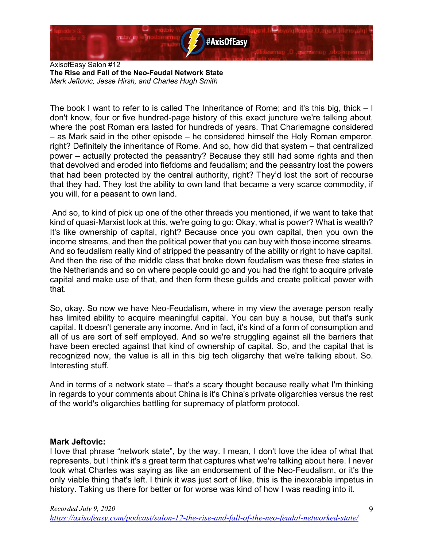

The book I want to refer to is called The Inheritance of Rome; and it's this big, thick – I don't know, four or five hundred-page history of this exact juncture we're talking about, where the post Roman era lasted for hundreds of years. That Charlemagne considered – as Mark said in the other episode – he considered himself the Holy Roman emperor, right? Definitely the inheritance of Rome. And so, how did that system – that centralized power – actually protected the peasantry? Because they still had some rights and then that devolved and eroded into fiefdoms and feudalism; and the peasantry lost the powers that had been protected by the central authority, right? They'd lost the sort of recourse that they had. They lost the ability to own land that became a very scarce commodity, if you will, for a peasant to own land.

And so, to kind of pick up one of the other threads you mentioned, if we want to take that kind of quasi-Marxist look at this, we're going to go: Okay, what is power? What is wealth? It's like ownership of capital, right? Because once you own capital, then you own the income streams, and then the political power that you can buy with those income streams. And so feudalism really kind of stripped the peasantry of the ability or right to have capital. And then the rise of the middle class that broke down feudalism was these free states in the Netherlands and so on where people could go and you had the right to acquire private capital and make use of that, and then form these guilds and create political power with that.

So, okay. So now we have Neo-Feudalism, where in my view the average person really has limited ability to acquire meaningful capital. You can buy a house, but that's sunk capital. It doesn't generate any income. And in fact, it's kind of a form of consumption and all of us are sort of self employed. And so we're struggling against all the barriers that have been erected against that kind of ownership of capital. So, and the capital that is recognized now, the value is all in this big tech oligarchy that we're talking about. So. Interesting stuff.

And in terms of a network state – that's a scary thought because really what I'm thinking in regards to your comments about China is it's China's private oligarchies versus the rest of the world's oligarchies battling for supremacy of platform protocol.

# **Mark Jeftovic:**

I love that phrase "network state", by the way. I mean, I don't love the idea of what that represents, but I think it's a great term that captures what we're talking about here. I never took what Charles was saying as like an endorsement of the Neo-Feudalism, or it's the only viable thing that's left. I think it was just sort of like, this is the inexorable impetus in history. Taking us there for better or for worse was kind of how I was reading into it.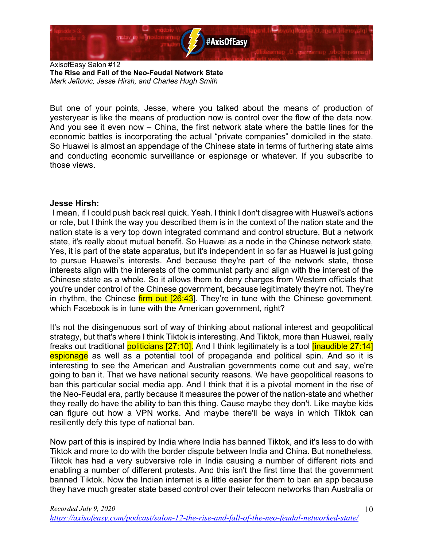

But one of your points, Jesse, where you talked about the means of production of yesteryear is like the means of production now is control over the flow of the data now. And you see it even now – China, the first network state where the battle lines for the economic battles is incorporating the actual "private companies" domiciled in the state. So Huawei is almost an appendage of the Chinese state in terms of furthering state aims and conducting economic surveillance or espionage or whatever. If you subscribe to those views.

#### **Jesse Hirsh:**

I mean, if I could push back real quick. Yeah. I think I don't disagree with Huawei's actions or role, but I think the way you described them is in the context of the nation state and the nation state is a very top down integrated command and control structure. But a network state, it's really about mutual benefit. So Huawei as a node in the Chinese network state, Yes, it is part of the state apparatus, but it's independent in so far as Huawei is just going to pursue Huawei's interests. And because they're part of the network state, those interests align with the interests of the communist party and align with the interest of the Chinese state as a whole. So it allows them to deny charges from Western officials that you're under control of the Chinese government, because legitimately they're not. They're in rhythm, the Chinese  $f_{\text{irm}}$  out  $[26:43]$ . They're in tune with the Chinese government, which Facebook is in tune with the American government, right?

It's not the disingenuous sort of way of thinking about national interest and geopolitical strategy, but that's where I think Tiktok is interesting. And Tiktok, more than Huawei, really freaks out traditional politicians [27:10]. And I think legitimately is a tool *[inaudible 27:14]* espionage as well as a potential tool of propaganda and political spin. And so it is interesting to see the American and Australian governments come out and say, we're going to ban it. That we have national security reasons. We have geopolitical reasons to ban this particular social media app. And I think that it is a pivotal moment in the rise of the Neo-Feudal era, partly because it measures the power of the nation-state and whether they really do have the ability to ban this thing. Cause maybe they don't. Like maybe kids can figure out how a VPN works. And maybe there'll be ways in which Tiktok can resiliently defy this type of national ban.

Now part of this is inspired by India where India has banned Tiktok, and it's less to do with Tiktok and more to do with the border dispute between India and China. But nonetheless, Tiktok has had a very subversive role in India causing a number of different riots and enabling a number of different protests. And this isn't the first time that the government banned Tiktok. Now the Indian internet is a little easier for them to ban an app because they have much greater state based control over their telecom networks than Australia or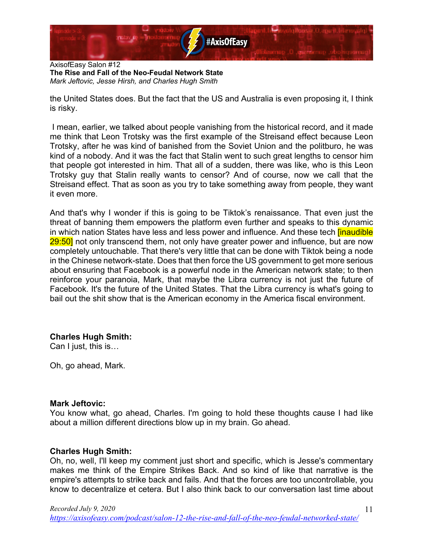

the United States does. But the fact that the US and Australia is even proposing it, I think is risky.

I mean, earlier, we talked about people vanishing from the historical record, and it made me think that Leon Trotsky was the first example of the Streisand effect because Leon Trotsky, after he was kind of banished from the Soviet Union and the politburo, he was kind of a nobody. And it was the fact that Stalin went to such great lengths to censor him that people got interested in him. That all of a sudden, there was like, who is this Leon Trotsky guy that Stalin really wants to censor? And of course, now we call that the Streisand effect. That as soon as you try to take something away from people, they want it even more.

And that's why I wonder if this is going to be Tiktok's renaissance. That even just the threat of banning them empowers the platform even further and speaks to this dynamic in which nation States have less and less power and influence. And these tech linaudible 29:50] not only transcend them, not only have greater power and influence, but are now completely untouchable. That there's very little that can be done with Tiktok being a node in the Chinese network-state. Does that then force the US government to get more serious about ensuring that Facebook is a powerful node in the American network state; to then reinforce your paranoia, Mark, that maybe the Libra currency is not just the future of Facebook. It's the future of the United States. That the Libra currency is what's going to bail out the shit show that is the American economy in the America fiscal environment.

# **Charles Hugh Smith:**

Can I just, this is…

Oh, go ahead, Mark.

# **Mark Jeftovic:**

You know what, go ahead, Charles. I'm going to hold these thoughts cause I had like about a million different directions blow up in my brain. Go ahead.

# **Charles Hugh Smith:**

Oh, no, well, I'll keep my comment just short and specific, which is Jesse's commentary makes me think of the Empire Strikes Back. And so kind of like that narrative is the empire's attempts to strike back and fails. And that the forces are too uncontrollable, you know to decentralize et cetera. But I also think back to our conversation last time about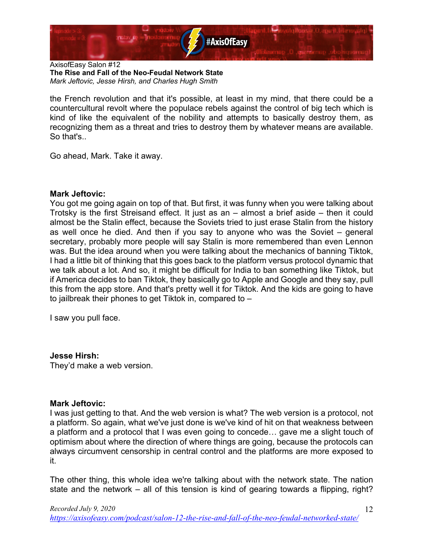

the French revolution and that it's possible, at least in my mind, that there could be a countercultural revolt where the populace rebels against the control of big tech which is kind of like the equivalent of the nobility and attempts to basically destroy them, as recognizing them as a threat and tries to destroy them by whatever means are available. So that's..

Go ahead, Mark. Take it away.

#### **Mark Jeftovic:**

You got me going again on top of that. But first, it was funny when you were talking about Trotsky is the first Streisand effect. It just as an – almost a brief aside – then it could almost be the Stalin effect, because the Soviets tried to just erase Stalin from the history as well once he died. And then if you say to anyone who was the Soviet – general secretary, probably more people will say Stalin is more remembered than even Lennon was. But the idea around when you were talking about the mechanics of banning Tiktok, I had a little bit of thinking that this goes back to the platform versus protocol dynamic that we talk about a lot. And so, it might be difficult for India to ban something like Tiktok, but if America decides to ban Tiktok, they basically go to Apple and Google and they say, pull this from the app store. And that's pretty well it for Tiktok. And the kids are going to have to jailbreak their phones to get Tiktok in, compared to –

I saw you pull face.

#### **Jesse Hirsh:**

They'd make a web version.

#### **Mark Jeftovic:**

I was just getting to that. And the web version is what? The web version is a protocol, not a platform. So again, what we've just done is we've kind of hit on that weakness between a platform and a protocol that I was even going to concede… gave me a slight touch of optimism about where the direction of where things are going, because the protocols can always circumvent censorship in central control and the platforms are more exposed to it.

The other thing, this whole idea we're talking about with the network state. The nation state and the network – all of this tension is kind of gearing towards a flipping, right?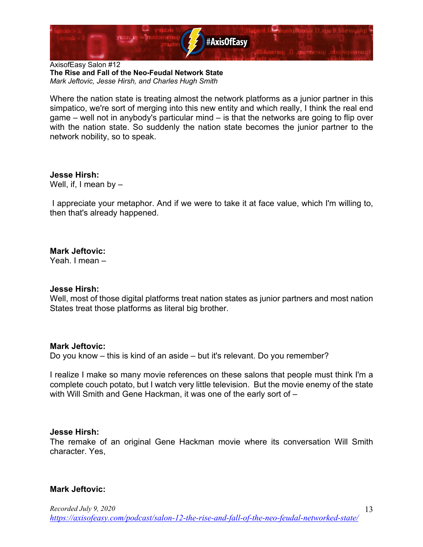

Where the nation state is treating almost the network platforms as a junior partner in this simpatico, we're sort of merging into this new entity and which really, I think the real end game – well not in anybody's particular mind – is that the networks are going to flip over with the nation state. So suddenly the nation state becomes the junior partner to the network nobility, so to speak.

**Jesse Hirsh:** Well, if, I mean by –

I appreciate your metaphor. And if we were to take it at face value, which I'm willing to, then that's already happened.

# **Mark Jeftovic:**

Yeah. I mean –

#### **Jesse Hirsh:**

Well, most of those digital platforms treat nation states as junior partners and most nation States treat those platforms as literal big brother.

# **Mark Jeftovic:**

Do you know – this is kind of an aside – but it's relevant. Do you remember?

I realize I make so many movie references on these salons that people must think I'm a complete couch potato, but I watch very little television. But the movie enemy of the state with Will Smith and Gene Hackman, it was one of the early sort of –

# **Jesse Hirsh:**

The remake of an original Gene Hackman movie where its conversation Will Smith character. Yes,

# **Mark Jeftovic:**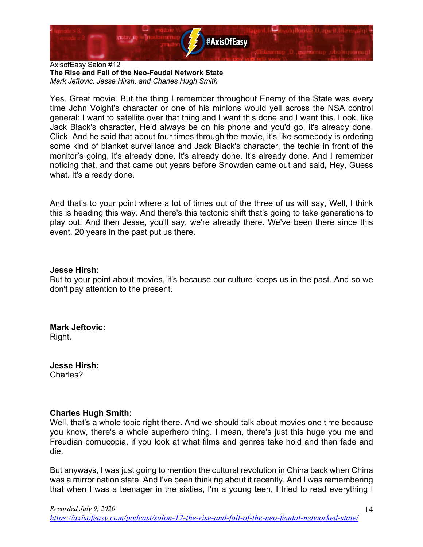

Yes. Great movie. But the thing I remember throughout Enemy of the State was every time John Voight's character or one of his minions would yell across the NSA control general: I want to satellite over that thing and I want this done and I want this. Look, like Jack Black's character, He'd always be on his phone and you'd go, it's already done. Click. And he said that about four times through the movie, it's like somebody is ordering some kind of blanket surveillance and Jack Black's character, the techie in front of the monitor's going, it's already done. It's already done. It's already done. And I remember noticing that, and that came out years before Snowden came out and said, Hey, Guess what. It's already done.

And that's to your point where a lot of times out of the three of us will say, Well, I think this is heading this way. And there's this tectonic shift that's going to take generations to play out. And then Jesse, you'll say, we're already there. We've been there since this event. 20 years in the past put us there.

# **Jesse Hirsh:**

But to your point about movies, it's because our culture keeps us in the past. And so we don't pay attention to the present.

**Mark Jeftovic:** Right.

**Jesse Hirsh:** Charles?

# **Charles Hugh Smith:**

Well, that's a whole topic right there. And we should talk about movies one time because you know, there's a whole superhero thing. I mean, there's just this huge you me and Freudian cornucopia, if you look at what films and genres take hold and then fade and die.

But anyways, I was just going to mention the cultural revolution in China back when China was a mirror nation state. And I've been thinking about it recently. And I was remembering that when I was a teenager in the sixties, I'm a young teen, I tried to read everything I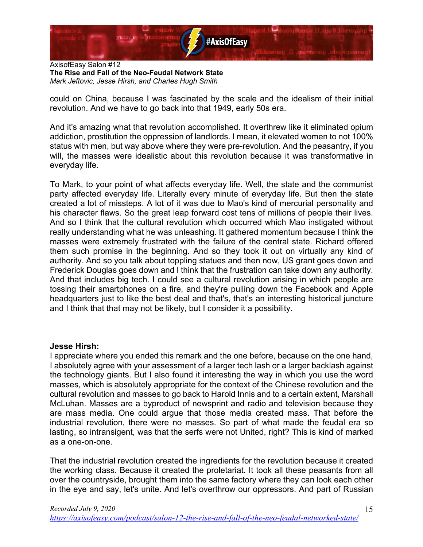

could on China, because I was fascinated by the scale and the idealism of their initial revolution. And we have to go back into that 1949, early 50s era.

And it's amazing what that revolution accomplished. It overthrew like it eliminated opium addiction, prostitution the oppression of landlords. I mean, it elevated women to not 100% status with men, but way above where they were pre-revolution. And the peasantry, if you will, the masses were idealistic about this revolution because it was transformative in everyday life.

To Mark, to your point of what affects everyday life. Well, the state and the communist party affected everyday life. Literally every minute of everyday life. But then the state created a lot of missteps. A lot of it was due to Mao's kind of mercurial personality and his character flaws. So the great leap forward cost tens of millions of people their lives. And so I think that the cultural revolution which occurred which Mao instigated without really understanding what he was unleashing. It gathered momentum because I think the masses were extremely frustrated with the failure of the central state. Richard offered them such promise in the beginning. And so they took it out on virtually any kind of authority. And so you talk about toppling statues and then now, US grant goes down and Frederick Douglas goes down and I think that the frustration can take down any authority. And that includes big tech. I could see a cultural revolution arising in which people are tossing their smartphones on a fire, and they're pulling down the Facebook and Apple headquarters just to like the best deal and that's, that's an interesting historical juncture and I think that that may not be likely, but I consider it a possibility.

# **Jesse Hirsh:**

I appreciate where you ended this remark and the one before, because on the one hand, I absolutely agree with your assessment of a larger tech lash or a larger backlash against the technology giants. But I also found it interesting the way in which you use the word masses, which is absolutely appropriate for the context of the Chinese revolution and the cultural revolution and masses to go back to Harold Innis and to a certain extent, Marshall McLuhan. Masses are a byproduct of newsprint and radio and television because they are mass media. One could argue that those media created mass. That before the industrial revolution, there were no masses. So part of what made the feudal era so lasting, so intransigent, was that the serfs were not United, right? This is kind of marked as a one-on-one.

That the industrial revolution created the ingredients for the revolution because it created the working class. Because it created the proletariat. It took all these peasants from all over the countryside, brought them into the same factory where they can look each other in the eye and say, let's unite. And let's overthrow our oppressors. And part of Russian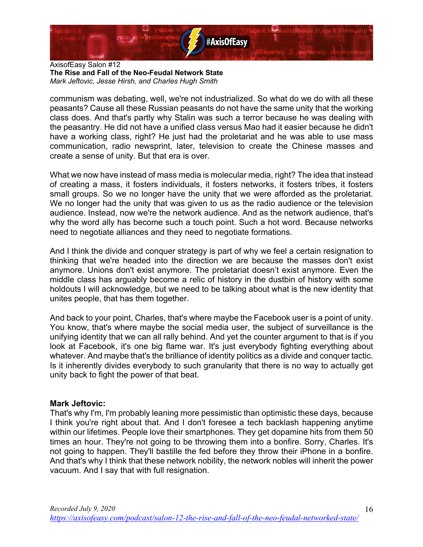

communism was debating, well, we're not industrialized. So what do we do with all these peasants? Cause all these Russian peasants do not have the same unity that the working class does. And that's partly why Stalin was such a terror because he was dealing with the peasantry. He did not have a unified class versus Mao had it easier because he didn't have a working class, right? He just had the proletariat and he was able to use mass communication, radio newsprint, later, television to create the Chinese masses and create a sense of unity. But that era is over.

What we now have instead of mass media is molecular media, right? The idea that instead of creating a mass, it fosters individuals, it fosters networks, it fosters tribes, it fosters small groups. So we no longer have the unity that we were afforded as the proletariat. We no longer had the unity that was given to us as the radio audience or the television audience. Instead, now we're the network audience. And as the network audience, that's why the word ally has become such a touch point. Such a hot word. Because networks need to negotiate alliances and they need to negotiate formations.

And I think the divide and conquer strategy is part of why we feel a certain resignation to thinking that we're headed into the direction we are because the masses don't exist anymore. Unions don't exist anymore. The proletariat doesn't exist anymore. Even the middle class has arguably become a relic of history in the dustbin of history with some holdouts I will acknowledge, but we need to be talking about what is the new identity that unites people, that has them together.

And back to your point, Charles, that's where maybe the Facebook user is a point of unity. You know, that's where maybe the social media user, the subject of surveillance is the unifying identity that we can all rally behind. And yet the counter argument to that is if you look at Facebook, it's one big flame war. It's just everybody fighting everything about whatever. And maybe that's the brilliance of identity politics as a divide and conquer tactic. Is it inherently divides everybody to such granularity that there is no way to actually get unity back to fight the power of that beat.

# **Mark Jeftovic:**

That's why I'm, I'm probably leaning more pessimistic than optimistic these days, because I think you're right about that. And I don't foresee a tech backlash happening anytime within our lifetimes. People love their smartphones. They get dopamine hits from them 50 times an hour. They're not going to be throwing them into a bonfire. Sorry, Charles. It's not going to happen. They'll bastille the fed before they throw their iPhone in a bonfire. And that's why I think that these network nobility, the network nobles will inherit the power vacuum. And I say that with full resignation.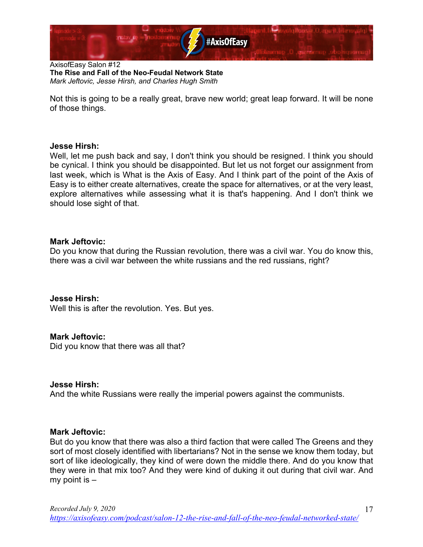

Not this is going to be a really great, brave new world; great leap forward. It will be none of those things.

#### **Jesse Hirsh:**

Well, let me push back and say, I don't think you should be resigned. I think you should be cynical. I think you should be disappointed. But let us not forget our assignment from last week, which is What is the Axis of Easy. And I think part of the point of the Axis of Easy is to either create alternatives, create the space for alternatives, or at the very least, explore alternatives while assessing what it is that's happening. And I don't think we should lose sight of that.

#### **Mark Jeftovic:**

Do you know that during the Russian revolution, there was a civil war. You do know this, there was a civil war between the white russians and the red russians, right?

#### **Jesse Hirsh:**

Well this is after the revolution. Yes. But yes.

#### **Mark Jeftovic:**

Did you know that there was all that?

# **Jesse Hirsh:**

And the white Russians were really the imperial powers against the communists.

#### **Mark Jeftovic:**

But do you know that there was also a third faction that were called The Greens and they sort of most closely identified with libertarians? Not in the sense we know them today, but sort of like ideologically, they kind of were down the middle there. And do you know that they were in that mix too? And they were kind of duking it out during that civil war. And my point is –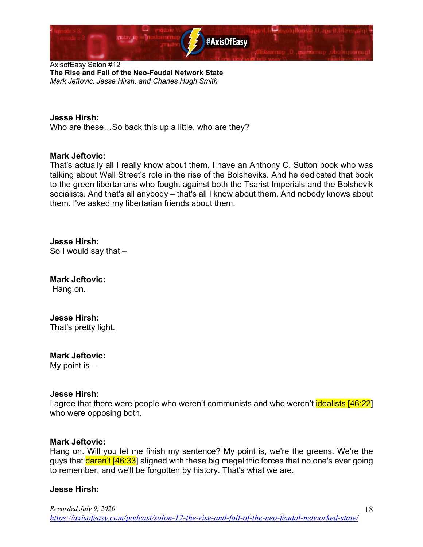

#### **Jesse Hirsh:**

Who are these…So back this up a little, who are they?

#### **Mark Jeftovic:**

That's actually all I really know about them. I have an Anthony C. Sutton book who was talking about Wall Street's role in the rise of the Bolsheviks. And he dedicated that book to the green libertarians who fought against both the Tsarist Imperials and the Bolshevik socialists. And that's all anybody – that's all I know about them. And nobody knows about them. I've asked my libertarian friends about them.

**Jesse Hirsh:** So I would say that –

**Mark Jeftovic:** Hang on.

# **Jesse Hirsh:**

That's pretty light.

# **Mark Jeftovic:**

My point is  $-$ 

#### **Jesse Hirsh:**

I agree that there were people who weren't communists and who weren't idealists [46:22] who were opposing both.

#### **Mark Jeftovic:**

Hang on. Will you let me finish my sentence? My point is, we're the greens. We're the guys that **daren't [46:33]** aligned with these big megalithic forces that no one's ever going to remember, and we'll be forgotten by history. That's what we are.

# **Jesse Hirsh:**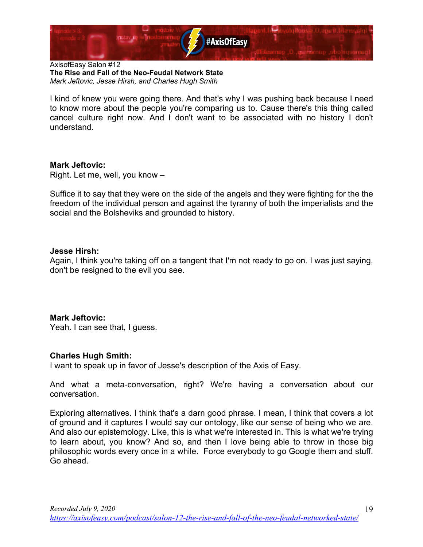

I kind of knew you were going there. And that's why I was pushing back because I need to know more about the people you're comparing us to. Cause there's this thing called cancel culture right now. And I don't want to be associated with no history I don't understand.

# **Mark Jeftovic:**

Right. Let me, well, you know –

Suffice it to say that they were on the side of the angels and they were fighting for the the freedom of the individual person and against the tyranny of both the imperialists and the social and the Bolsheviks and grounded to history.

#### **Jesse Hirsh:**

Again, I think you're taking off on a tangent that I'm not ready to go on. I was just saying, don't be resigned to the evil you see.

# **Mark Jeftovic:**

Yeah. I can see that, I guess.

# **Charles Hugh Smith:**

I want to speak up in favor of Jesse's description of the Axis of Easy.

And what a meta-conversation, right? We're having a conversation about our conversation.

Exploring alternatives. I think that's a darn good phrase. I mean, I think that covers a lot of ground and it captures I would say our ontology, like our sense of being who we are. And also our epistemology. Like, this is what we're interested in. This is what we're trying to learn about, you know? And so, and then I love being able to throw in those big philosophic words every once in a while. Force everybody to go Google them and stuff. Go ahead.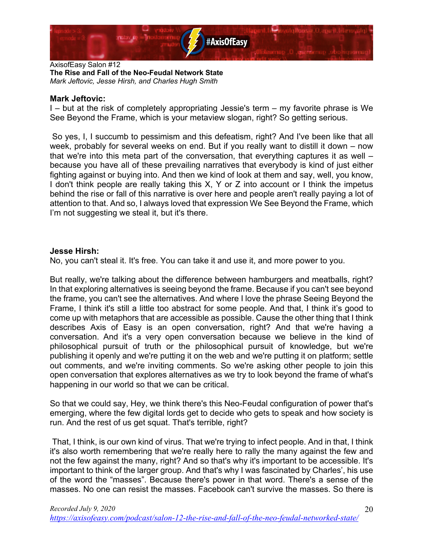

# **Mark Jeftovic:**

I – but at the risk of completely appropriating Jessie's term – my favorite phrase is We See Beyond the Frame, which is your metaview slogan, right? So getting serious.

So yes, I, I succumb to pessimism and this defeatism, right? And I've been like that all week, probably for several weeks on end. But if you really want to distill it down – now that we're into this meta part of the conversation, that everything captures it as well – because you have all of these prevailing narratives that everybody is kind of just either fighting against or buying into. And then we kind of look at them and say, well, you know, I don't think people are really taking this X, Y or Z into account or I think the impetus behind the rise or fall of this narrative is over here and people aren't really paying a lot of attention to that. And so, I always loved that expression We See Beyond the Frame, which I'm not suggesting we steal it, but it's there.

# **Jesse Hirsh:**

No, you can't steal it. It's free. You can take it and use it, and more power to you.

But really, we're talking about the difference between hamburgers and meatballs, right? In that exploring alternatives is seeing beyond the frame. Because if you can't see beyond the frame, you can't see the alternatives. And where I love the phrase Seeing Beyond the Frame, I think it's still a little too abstract for some people. And that, I think it's good to come up with metaphors that are accessible as possible. Cause the other thing that I think describes Axis of Easy is an open conversation, right? And that we're having a conversation. And it's a very open conversation because we believe in the kind of philosophical pursuit of truth or the philosophical pursuit of knowledge, but we're publishing it openly and we're putting it on the web and we're putting it on platform; settle out comments, and we're inviting comments. So we're asking other people to join this open conversation that explores alternatives as we try to look beyond the frame of what's happening in our world so that we can be critical.

So that we could say, Hey, we think there's this Neo-Feudal configuration of power that's emerging, where the few digital lords get to decide who gets to speak and how society is run. And the rest of us get squat. That's terrible, right?

That, I think, is our own kind of virus. That we're trying to infect people. And in that, I think it's also worth remembering that we're really here to rally the many against the few and not the few against the many, right? And so that's why it's important to be accessible. It's important to think of the larger group. And that's why I was fascinated by Charles', his use of the word the "masses". Because there's power in that word. There's a sense of the masses. No one can resist the masses. Facebook can't survive the masses. So there is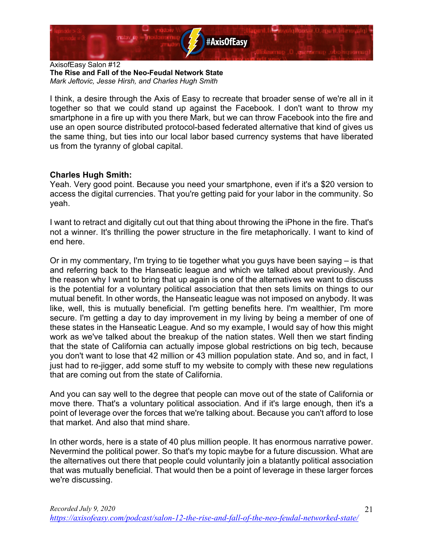

I think, a desire through the Axis of Easy to recreate that broader sense of we're all in it together so that we could stand up against the Facebook. I don't want to throw my smartphone in a fire up with you there Mark, but we can throw Facebook into the fire and use an open source distributed protocol-based federated alternative that kind of gives us the same thing, but ties into our local labor based currency systems that have liberated us from the tyranny of global capital.

# **Charles Hugh Smith:**

Yeah. Very good point. Because you need your smartphone, even if it's a \$20 version to access the digital currencies. That you're getting paid for your labor in the community. So yeah.

I want to retract and digitally cut out that thing about throwing the iPhone in the fire. That's not a winner. It's thrilling the power structure in the fire metaphorically. I want to kind of end here.

Or in my commentary, I'm trying to tie together what you guys have been saying – is that and referring back to the Hanseatic league and which we talked about previously. And the reason why I want to bring that up again is one of the alternatives we want to discuss is the potential for a voluntary political association that then sets limits on things to our mutual benefit. In other words, the Hanseatic league was not imposed on anybody. It was like, well, this is mutually beneficial. I'm getting benefits here. I'm wealthier, I'm more secure. I'm getting a day to day improvement in my living by being a member of one of these states in the Hanseatic League. And so my example, I would say of how this might work as we've talked about the breakup of the nation states. Well then we start finding that the state of California can actually impose global restrictions on big tech, because you don't want to lose that 42 million or 43 million population state. And so, and in fact, I just had to re-jigger, add some stuff to my website to comply with these new regulations that are coming out from the state of California.

And you can say well to the degree that people can move out of the state of California or move there. That's a voluntary political association. And if it's large enough, then it's a point of leverage over the forces that we're talking about. Because you can't afford to lose that market. And also that mind share.

In other words, here is a state of 40 plus million people. It has enormous narrative power. Nevermind the political power. So that's my topic maybe for a future discussion. What are the alternatives out there that people could voluntarily join a blatantly political association that was mutually beneficial. That would then be a point of leverage in these larger forces we're discussing.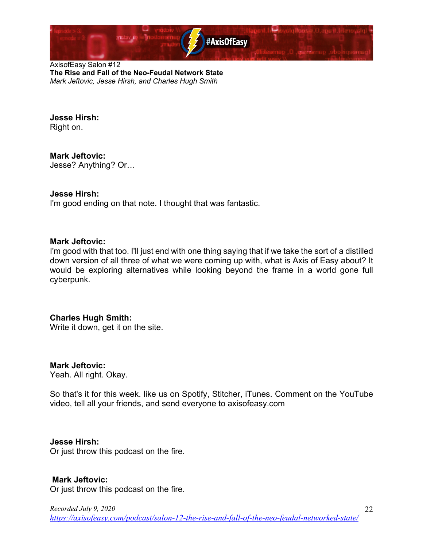

#### **Jesse Hirsh:** Right on.

**Mark Jeftovic:** Jesse? Anything? Or…

# **Jesse Hirsh:**

I'm good ending on that note. I thought that was fantastic.

# **Mark Jeftovic:**

I'm good with that too. I'll just end with one thing saying that if we take the sort of a distilled down version of all three of what we were coming up with, what is Axis of Easy about? It would be exploring alternatives while looking beyond the frame in a world gone full cyberpunk.

# **Charles Hugh Smith:**

Write it down, get it on the site.

# **Mark Jeftovic:**

Yeah. All right. Okay.

So that's it for this week. like us on Spotify, Stitcher, iTunes. Comment on the YouTube video, tell all your friends, and send everyone to axisofeasy.com

# **Jesse Hirsh:**

Or just throw this podcast on the fire.

# **Mark Jeftovic:**

Or just throw this podcast on the fire.